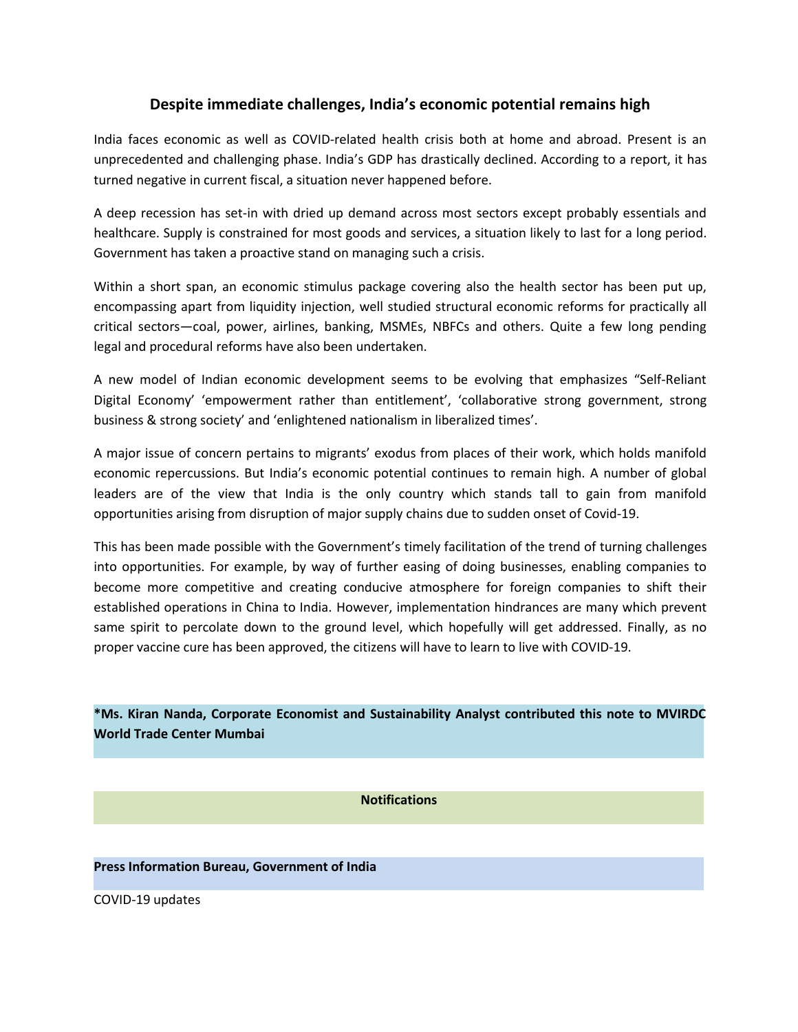## **Despite immediate challenges, India's economic potential remains high**

India faces economic as well as COVID-related health crisis both at home and abroad. Present is an unprecedented and challenging phase. India's GDP has drastically declined. According to a report, it has turned negative in current fiscal, a situation never happened before.

A deep recession has set-in with dried up demand across most sectors except probably essentials and healthcare. Supply is constrained for most goods and services, a situation likely to last for a long period. Government has taken a proactive stand on managing such a crisis.

Within a short span, an economic stimulus package covering also the health sector has been put up, encompassing apart from liquidity injection, well studied structural economic reforms for practically all critical sectors—coal, power, airlines, banking, MSMEs, NBFCs and others. Quite a few long pending

legal and procedural reforms have also been undertaken.<br>A new model of Indian economic development seems to be evolving that emphasizes "Self-Reliant Digital Economy' 'empowerment rather than entitlement', 'collaborative strong government, strong business & strong society' and 'enlightened nationalism in liberalized times'.

A major issue of concern pertains to migrants' exodus from places of their work, which holds manifold economic repercussions. But India's economic potential continues to remain high. A number of global leaders are of the view that India is the only country which stands tall to gain from manifold opportunities arising from disruption of major supply chains due to sudden onset of Covid-19.

This has been made possible with the Government's timely facilitation of the trend of turning challenges into opportunities. For example, by way of further easing of doing businesses, enabling companies to become more competitive and creating conducive atmosphere for foreign companies to shift their established operations in China to India. However, implementation hindrances are many which prevent same spirit to percolate down to the ground level, which hopefully will get addressed. Finally, as no proper vaccine cure has been approved, the citizens will have to learn to live with COVID-19.

**\*Ms. Kiran Nanda, Corporate Economist and Sustainability Analyst contributed this note to MVIRDC World Trade Center Mumbai**

**Notifications**

**Press Information Bureau, Government of India**

COVID-19 updates